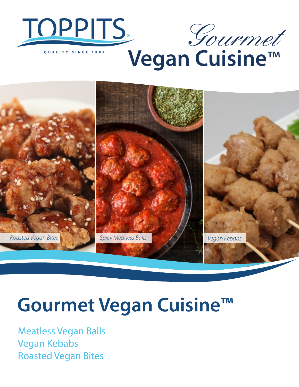



**Vegan Cuisine**™



## **Gourmet Vegan Cuisine™**

Meatless Vegan Balls Vegan Kebabs Roasted Vegan Bites